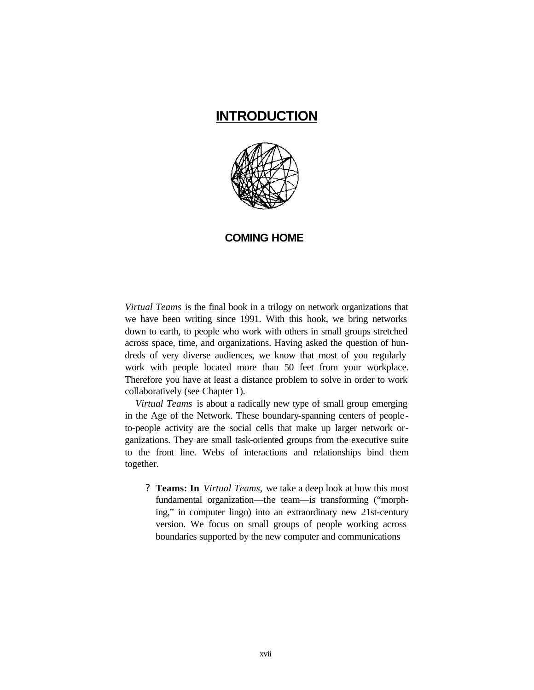# **INTRODUCTION**



## **COMING HOME**

*Virtual Teams* is the final book in a trilogy on network organizations that we have been writing since 1991. With this hook, we bring networks down to earth, to people who work with others in small groups stretched across space, time, and organizations. Having asked the question of hundreds of very diverse audiences, we know that most of you regularly work with people located more than 50 feet from your workplace. Therefore you have at least a distance problem to solve in order to work collaboratively (see Chapter 1).

*Virtual Teams* is about a radically new type of small group emerging in the Age of the Network. These boundary-spanning centers of people to-people activity are the social cells that make up larger network organizations. They are small task-oriented groups from the executive suite to the front line. Webs of interactions and relationships bind them together.

**? Teams: In** *Virtual Teams,* we take a deep look at how this most fundamental organization—the team—is transforming ("morphing," in computer lingo) into an extraordinary new 21st-century version. We focus on small groups of people working across boundaries supported by the new computer and communications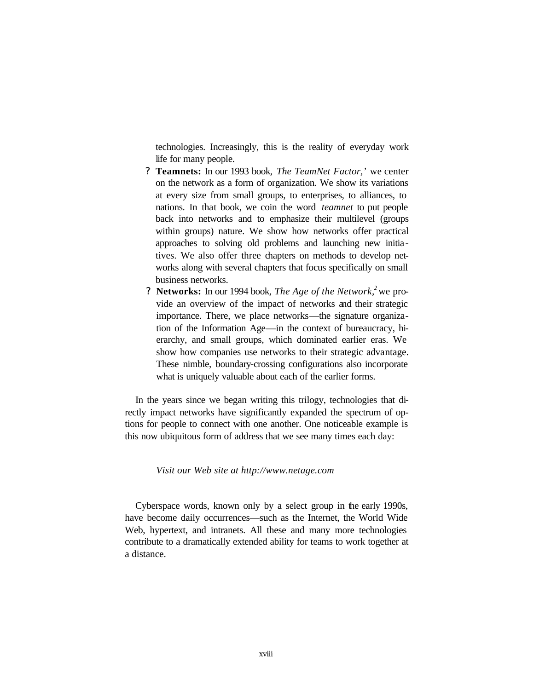technologies. Increasingly, this is the reality of everyday work life for many people.

- **? Teamnets:** In our 1993 book, *The TeamNet Factor,'* we center on the network as a form of organization. We show its variations at every size from small groups, to enterprises, to alliances, to nations. In that book, we coin the word *teamnet* to put people back into networks and to emphasize their multilevel (groups within groups) nature. We show how networks offer practical approaches to solving old problems and launching new initiatives. We also offer three chapters on methods to develop networks along with several chapters that focus specifically on small business networks.
- **? Networks:** In our 1994 book, *The Age of the Network,<sup>2</sup>* we provide an overview of the impact of networks and their strategic importance. There, we place networks—the signature organization of the Information Age—in the context of bureaucracy, hierarchy, and small groups, which dominated earlier eras. We show how companies use networks to their strategic advantage. These nimble, boundary-crossing configurations also incorporate what is uniquely valuable about each of the earlier forms.

In the years since we began writing this trilogy, technologies that directly impact networks have significantly expanded the spectrum of options for people to connect with one another. One noticeable example is this now ubiquitous form of address that we see many times each day:

#### *Visit our Web site at http://www.netage.com*

Cyberspace words, known only by a select group in the early 1990s, have become daily occurrences—such as the Internet, the World Wide Web, hypertext, and intranets. All these and many more technologies contribute to a dramatically extended ability for teams to work together at a distance.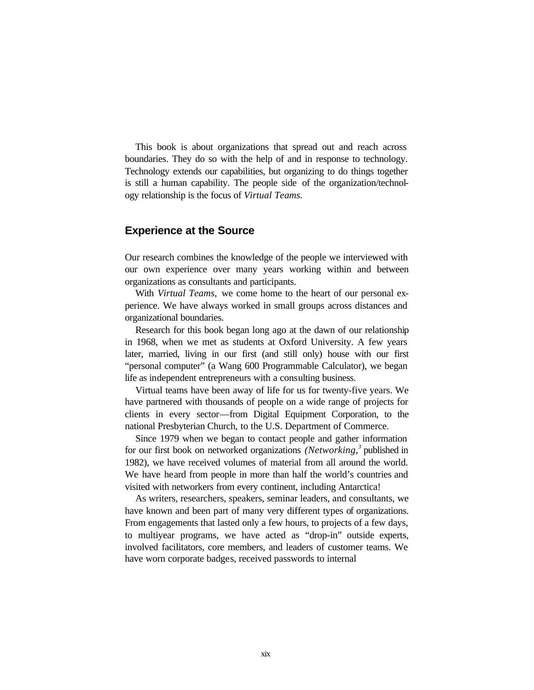This book is about organizations that spread out and reach across boundaries. They do so with the help of and in response to technology. Technology extends our capabilities, but organizing to do things together is still a human capability. The people side of the organization/technology relationship is the focus of *Virtual Teams.*

# **Experience at the Source**

Our research combines the knowledge of the people we interviewed with our own experience over many years working within and between organizations as consultants and participants.

With *Virtual Teams,* we come home to the heart of our personal experience. We have always worked in small groups across distances and organizational boundaries.

Research for this book began long ago at the dawn of our relationship in 1968, when we met as students at Oxford University. A few years later, married, living in our first (and still only) house with our first "personal computer" (a Wang 600 Programmable Calculator), we began life as independent entrepreneurs with a consulting business.

Virtual teams have been away of life for us for twenty-five years. We have partnered with thousands of people on a wide range of projects for clients in every sector—from Digital Equipment Corporation, to the national Presbyterian Church, to the U.S. Department of Commerce.

Since 1979 when we began to contact people and gather information for our first book on networked organizations *(Networking,<sup>3</sup>*published in 1982), we have received volumes of material from all around the world. We have heard from people in more than half the world's countries and visited with networkers from every continent, including Antarctica!

As writers, researchers, speakers, seminar leaders, and consultants, we have known and been part of many very different types of organizations. From engagements that lasted only a few hours, to projects of a few days, to multiyear programs, we have acted as "drop-in" outside experts, involved facilitators, core members, and leaders of customer teams. We have worn corporate badges, received passwords to internal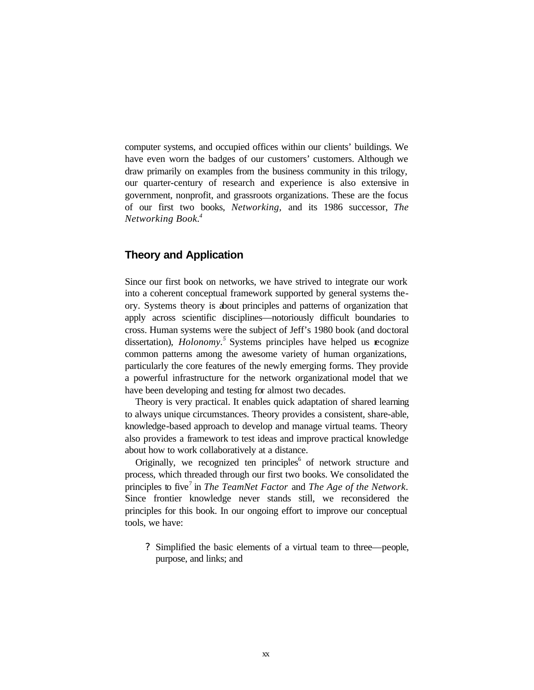computer systems, and occupied offices within our clients' buildings. We have even worn the badges of our customers' customers. Although we draw primarily on examples from the business community in this trilogy, our quarter-century of research and experience is also extensive in government, nonprofit, and grassroots organizations. These are the focus of our first two books, *Networking,* and its 1986 successor, *The Networking Book.<sup>4</sup>*

# **Theory and Application**

Since our first book on networks, we have strived to integrate our work into a coherent conceptual framework supported by general systems theory. Systems theory is about principles and patterns of organization that apply across scientific disciplines—notoriously difficult boundaries to cross. Human systems were the subject of Jeff's 1980 book (and doctoral dissertation), *Holonomy*.<sup>5</sup> Systems principles have helped us recognize common patterns among the awesome variety of human organizations, particularly the core features of the newly emerging forms. They provide a powerful infrastructure for the network organizational model that we have been developing and testing for almost two decades.

Theory is very practical. It enables quick adaptation of shared learning to always unique circumstances. Theory provides a consistent, share-able, knowledge-based approach to develop and manage virtual teams. Theory also provides a framework to test ideas and improve practical knowledge about how to work collaboratively at a distance.

Originally, we recognized ten principles<sup> $6$ </sup> of network structure and process, which threaded through our first two books. We consolidated the principles to five<sup>7</sup> in *The TeamNet Factor* and *The Age of the Network*. Since frontier knowledge never stands still, we reconsidered the principles for this book. In our ongoing effort to improve our conceptual tools, we have:

? Simplified the basic elements of a virtual team to three—people, purpose, and links; and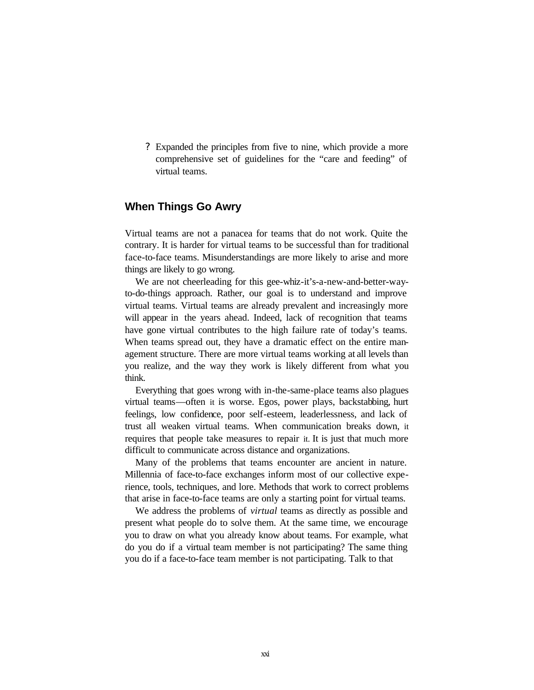? Expanded the principles from five to nine, which provide a more comprehensive set of guidelines for the "care and feeding" of virtual teams.

## **When Things Go Awry**

Virtual teams are not a panacea for teams that do not work. Quite the contrary. It is harder for virtual teams to be successful than for traditional face-to-face teams. Misunderstandings are more likely to arise and more things are likely to go wrong.

We are not cheerleading for this gee-whiz-it's-a-new-and-better-wayto-do-things approach. Rather, our goal is to understand and improve virtual teams. Virtual teams are already prevalent and increasingly more will appear in the years ahead. Indeed, lack of recognition that teams have gone virtual contributes to the high failure rate of today's teams. When teams spread out, they have a dramatic effect on the entire management structure. There are more virtual teams working at all levels than you realize, and the way they work is likely different from what you think.

Everything that goes wrong with in-the-same-place teams also plagues virtual teams—often it is worse. Egos, power plays, backstabbing, hurt feelings, low confidence, poor self-esteem, leaderlessness, and lack of trust all weaken virtual teams. When communication breaks down, it requires that people take measures to repair it. It is just that much more difficult to communicate across distance and organizations.

Many of the problems that teams encounter are ancient in nature. Millennia of face-to-face exchanges inform most of our collective experience, tools, techniques, and lore. Methods that work to correct problems that arise in face-to-face teams are only a starting point for virtual teams.

We address the problems of *virtual* teams as directly as possible and present what people do to solve them. At the same time, we encourage you to draw on what you already know about teams. For example, what do you do if a virtual team member is not participating? The same thing you do if a face-to-face team member is not participating. Talk to that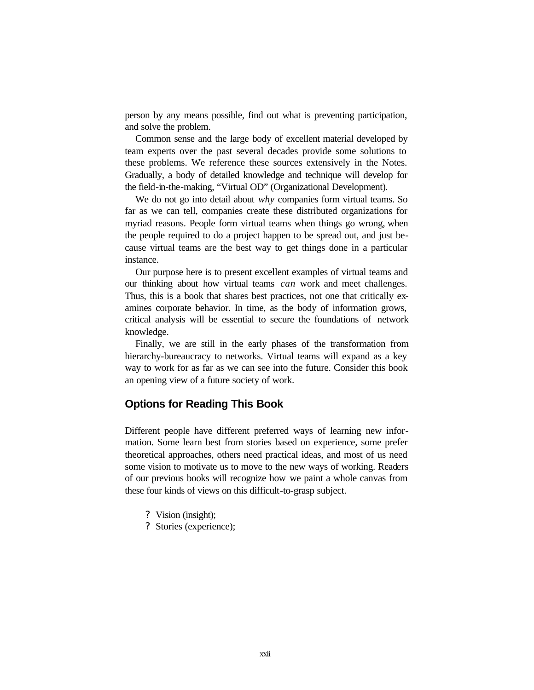person by any means possible, find out what is preventing participation, and solve the problem.

Common sense and the large body of excellent material developed by team experts over the past several decades provide some solutions to these problems. We reference these sources extensively in the Notes. Gradually, a body of detailed knowledge and technique will develop for the field-in-the-making, "Virtual OD" (Organizational Development).

We do not go into detail about *why* companies form virtual teams. So far as we can tell, companies create these distributed organizations for myriad reasons. People form virtual teams when things go wrong, when the people required to do a project happen to be spread out, and just because virtual teams are the best way to get things done in a particular instance.

Our purpose here is to present excellent examples of virtual teams and our thinking about how virtual teams *can* work and meet challenges. Thus, this is a book that shares best practices, not one that critically examines corporate behavior. In time, as the body of information grows, critical analysis will be essential to secure the foundations of network knowledge.

Finally, we are still in the early phases of the transformation from hierarchy-bureaucracy to networks. Virtual teams will expand as a key way to work for as far as we can see into the future. Consider this book an opening view of a future society of work.

## **Options for Reading This Book**

Different people have different preferred ways of learning new information. Some learn best from stories based on experience, some prefer theoretical approaches, others need practical ideas, and most of us need some vision to motivate us to move to the new ways of working. Readers of our previous books will recognize how we paint a whole canvas from these four kinds of views on this difficult-to-grasp subject.

- ? Vision (insight);
- ? Stories (experience);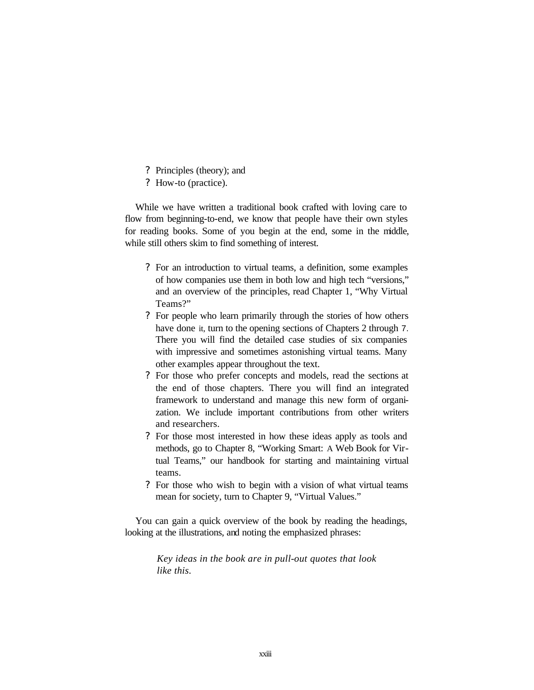- ? Principles (theory); and
- ? How-to (practice).

While we have written a traditional book crafted with loving care to flow from beginning-to-end, we know that people have their own styles for reading books. Some of you begin at the end, some in the middle, while still others skim to find something of interest.

- ? For an introduction to virtual teams, a definition, some examples of how companies use them in both low and high tech "versions," and an overview of the principles, read Chapter 1, "Why Virtual Teams?"
- ? For people who learn primarily through the stories of how others have done it, turn to the opening sections of Chapters 2 through 7. There you will find the detailed case studies of six companies with impressive and sometimes astonishing virtual teams. Many other examples appear throughout the text.
- ? For those who prefer concepts and models, read the sections at the end of those chapters. There you will find an integrated framework to understand and manage this new form of organization. We include important contributions from other writers and researchers.
- ? For those most interested in how these ideas apply as tools and methods, go to Chapter 8, "Working Smart: A Web Book for Virtual Teams," our handbook for starting and maintaining virtual teams.
- ? For those who wish to begin with a vision of what virtual teams mean for society, turn to Chapter 9, "Virtual Values."

You can gain a quick overview of the book by reading the headings, looking at the illustrations, and noting the emphasized phrases:

> *Key ideas in the book are in pull-out quotes that look like this.*